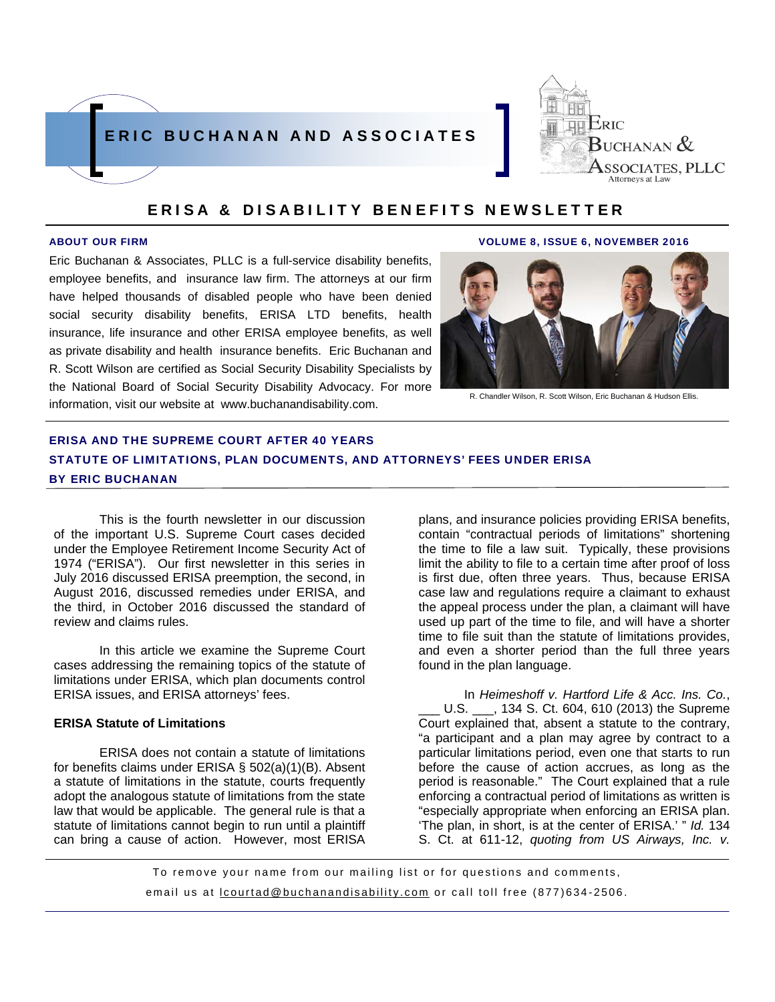



Eric Buchanan & Associates, PLLC is a full-service disability benefits, employee benefits, and insurance law firm. The attorneys at our firm have helped thousands of disabled people who have been denied social security disability benefits, ERISA LTD benefits, health insurance, life insurance and other ERISA employee benefits, as well as private disability and health insurance benefits. Eric Buchanan and R. Scott Wilson are certified as Social Security Disability Specialists by the National Board of Social Security Disability Advocacy. For more information, visit our website at www.buchanandisability.com.

ABOUT OUR FIRM VOLUME 8, ISSUE 6, NOVEMBER 2016



R. Chandler Wilson, R. Scott Wilson, Eric Buchanan & Hudson Ellis.

# ERISA AND THE SUPREME COURT AFTER 40 YEARS STATUTE OF LIMITATIONS, PLAN DOCUMENTS, AND ATTORNEYS' FEES UNDER ERISA BY ERIC BUCHANAN

This is the fourth newsletter in our discussion of the important U.S. Supreme Court cases decided under the Employee Retirement Income Security Act of 1974 ("ERISA"). Our first newsletter in this series in July 2016 discussed ERISA preemption, the second, in August 2016, discussed remedies under ERISA, and the third, in October 2016 discussed the standard of review and claims rules.

In this article we examine the Supreme Court cases addressing the remaining topics of the statute of limitations under ERISA, which plan documents control ERISA issues, and ERISA attorneys' fees.

#### **ERISA Statute of Limitations**

ERISA does not contain a statute of limitations for benefits claims under ERISA § 502(a)(1)(B). Absent a statute of limitations in the statute, courts frequently adopt the analogous statute of limitations from the state law that would be applicable. The general rule is that a statute of limitations cannot begin to run until a plaintiff can bring a cause of action. However, most ERISA

plans, and insurance policies providing ERISA benefits, contain "contractual periods of limitations" shortening the time to file a law suit. Typically, these provisions limit the ability to file to a certain time after proof of loss is first due, often three years. Thus, because ERISA case law and regulations require a claimant to exhaust the appeal process under the plan, a claimant will have used up part of the time to file, and will have a shorter time to file suit than the statute of limitations provides, and even a shorter period than the full three years found in the plan language.

In *Heimeshoff v. Hartford Life & Acc. Ins. Co.*, U.S. \_\_\_, 134 S. Ct. 604, 610 (2013) the Supreme Court explained that, absent a statute to the contrary, "a participant and a plan may agree by contract to a particular limitations period, even one that starts to run before the cause of action accrues, as long as the period is reasonable." The Court explained that a rule enforcing a contractual period of limitations as written is "especially appropriate when enforcing an ERISA plan. 'The plan, in short, is at the center of ERISA.' " *Id.* 134 S. Ct. at 611-12, *quoting from US Airways, Inc. v.* 

To remove your name from our mailing list or for questions and comments, email us at **lcourtad@buchanandisability.com** or call toll free (877)634-2506.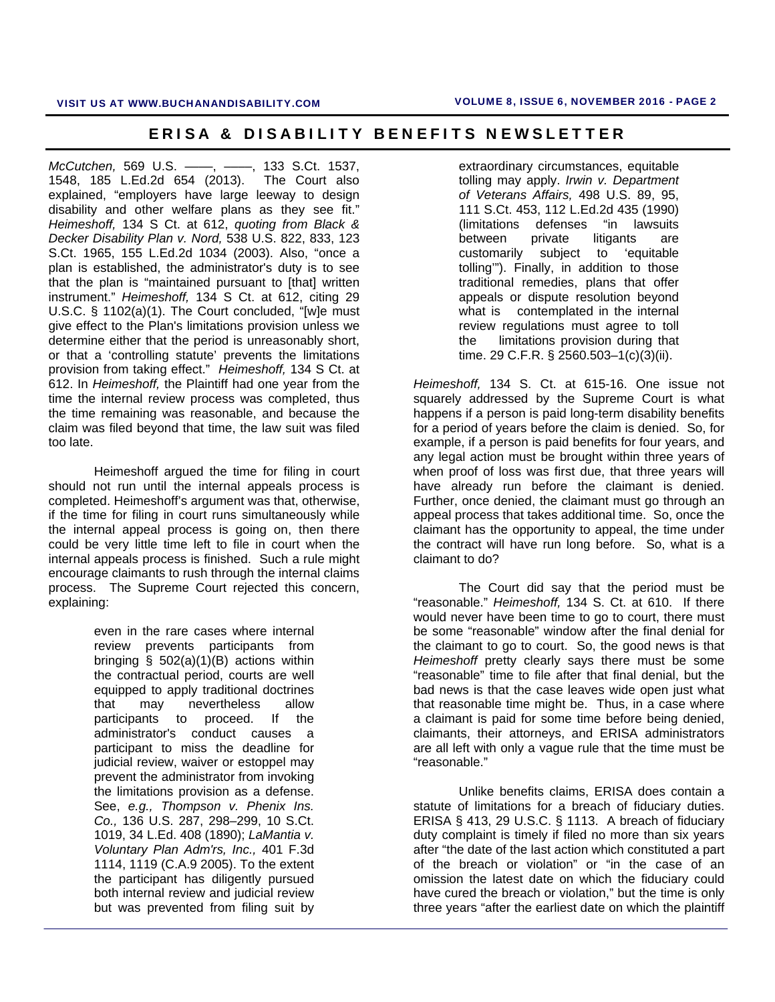*McCutchen,* 569 U.S. ––––, ––––, 133 S.Ct. 1537, 1548, 185 L.Ed.2d 654 (2013). The Court also explained, "employers have large leeway to design disability and other welfare plans as they see fit." *Heimeshoff,* 134 S Ct. at 612, *quoting from Black & Decker Disability Plan v. Nord,* 538 U.S. 822, 833, 123 S.Ct. 1965, 155 L.Ed.2d 1034 (2003). Also, "once a plan is established, the administrator's duty is to see that the plan is "maintained pursuant to [that] written instrument." *Heimeshoff,* 134 S Ct. at 612, citing 29 U.S.C. § 1102(a)(1). The Court concluded, "[w]e must give effect to the Plan's limitations provision unless we determine either that the period is unreasonably short, or that a 'controlling statute' prevents the limitations provision from taking effect." *Heimeshoff,* 134 S Ct. at 612. In *Heimeshoff,* the Plaintiff had one year from the time the internal review process was completed, thus the time remaining was reasonable, and because the claim was filed beyond that time, the law suit was filed too late.

Heimeshoff argued the time for filing in court should not run until the internal appeals process is completed. Heimeshoff's argument was that, otherwise, if the time for filing in court runs simultaneously while the internal appeal process is going on, then there could be very little time left to file in court when the internal appeals process is finished. Such a rule might encourage claimants to rush through the internal claims process. The Supreme Court rejected this concern, explaining:

> even in the rare cases where internal review prevents participants from bringing §  $502(a)(1)(B)$  actions within the contractual period, courts are well equipped to apply traditional doctrines that may nevertheless allow participants to proceed. If the administrator's conduct causes a participant to miss the deadline for judicial review, waiver or estoppel may prevent the administrator from invoking the limitations provision as a defense. See, *e.g., Thompson v. Phenix Ins. Co.,* 136 U.S. 287, 298–299, 10 S.Ct. 1019, 34 L.Ed. 408 (1890); *LaMantia v. Voluntary Plan Adm'rs, Inc.,* 401 F.3d 1114, 1119 (C.A.9 2005). To the extent the participant has diligently pursued both internal review and judicial review but was prevented from filing suit by

extraordinary circumstances, equitable tolling may apply. *Irwin v. Department of Veterans Affairs,* 498 U.S. 89, 95, 111 S.Ct. 453, 112 L.Ed.2d 435 (1990) (limitations defenses "in lawsuits between private litigants are customarily subject to 'equitable tolling'"). Finally, in addition to those traditional remedies, plans that offer appeals or dispute resolution beyond what is contemplated in the internal review regulations must agree to toll the limitations provision during that time. 29 C.F.R. § 2560.503–1(c)(3)(ii).

*Heimeshoff,* 134 S. Ct. at 615-16. One issue not squarely addressed by the Supreme Court is what happens if a person is paid long-term disability benefits for a period of years before the claim is denied. So, for example, if a person is paid benefits for four years, and any legal action must be brought within three years of when proof of loss was first due, that three years will have already run before the claimant is denied. Further, once denied, the claimant must go through an appeal process that takes additional time. So, once the claimant has the opportunity to appeal, the time under the contract will have run long before. So, what is a claimant to do?

The Court did say that the period must be "reasonable." *Heimeshoff,* 134 S. Ct. at 610. If there would never have been time to go to court, there must be some "reasonable" window after the final denial for the claimant to go to court. So, the good news is that *Heimeshoff* pretty clearly says there must be some "reasonable" time to file after that final denial, but the bad news is that the case leaves wide open just what that reasonable time might be. Thus, in a case where a claimant is paid for some time before being denied, claimants, their attorneys, and ERISA administrators are all left with only a vague rule that the time must be "reasonable."

Unlike benefits claims, ERISA does contain a statute of limitations for a breach of fiduciary duties. ERISA § 413, 29 U.S.C. § 1113. A breach of fiduciary duty complaint is timely if filed no more than six years after "the date of the last action which constituted a part of the breach or violation" or "in the case of an omission the latest date on which the fiduciary could have cured the breach or violation," but the time is only three years "after the earliest date on which the plaintiff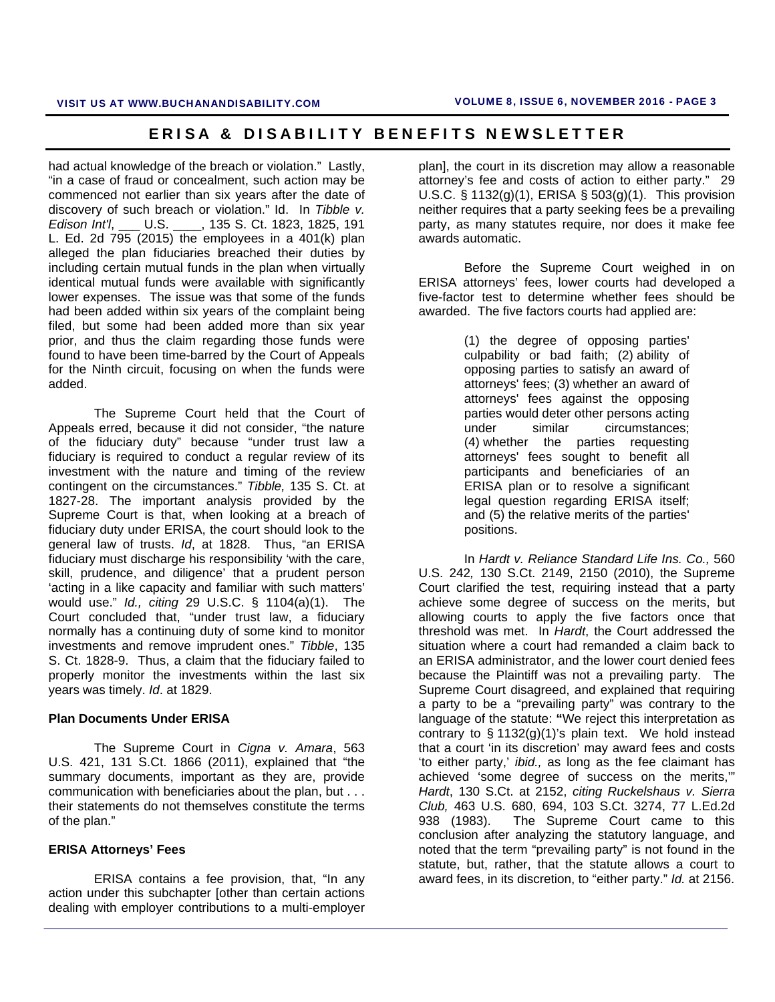had actual knowledge of the breach or violation." Lastly, "in a case of fraud or concealment, such action may be commenced not earlier than six years after the date of discovery of such breach or violation." Id. In *Tibble v. Edison Int'l*, \_\_\_ U.S. \_\_\_\_, 135 S. Ct. 1823, 1825, 191 L. Ed. 2d  $795$  (2015) the employees in a  $401(k)$  plan alleged the plan fiduciaries breached their duties by including certain mutual funds in the plan when virtually identical mutual funds were available with significantly lower expenses. The issue was that some of the funds had been added within six years of the complaint being filed, but some had been added more than six year prior, and thus the claim regarding those funds were found to have been time-barred by the Court of Appeals for the Ninth circuit, focusing on when the funds were added.

The Supreme Court held that the Court of Appeals erred, because it did not consider, "the nature of the fiduciary duty" because "under trust law a fiduciary is required to conduct a regular review of its investment with the nature and timing of the review contingent on the circumstances." *Tibble,* 135 S. Ct. at 1827-28. The important analysis provided by the Supreme Court is that, when looking at a breach of fiduciary duty under ERISA, the court should look to the general law of trusts. *Id*, at 1828. Thus, "an ERISA fiduciary must discharge his responsibility 'with the care, skill, prudence, and diligence' that a prudent person 'acting in a like capacity and familiar with such matters' would use." *Id., citing* 29 U.S.C. § 1104(a)(1). The Court concluded that, "under trust law, a fiduciary normally has a continuing duty of some kind to monitor investments and remove imprudent ones." *Tibble*, 135 S. Ct. 1828-9. Thus, a claim that the fiduciary failed to properly monitor the investments within the last six years was timely. *Id*. at 1829.

#### **Plan Documents Under ERISA**

The Supreme Court in *Cigna v. Amara*, 563 U.S. 421, 131 S.Ct. 1866 (2011), explained that "the summary documents, important as they are, provide communication with beneficiaries about the plan, but . . . their statements do not themselves constitute the terms of the plan."

#### **ERISA Attorneys' Fees**

ERISA contains a fee provision, that, "In any action under this subchapter [other than certain actions dealing with employer contributions to a multi-employer plan], the court in its discretion may allow a reasonable attorney's fee and costs of action to either party." 29 U.S.C. § 1132(g)(1), ERISA § 503(g)(1). This provision neither requires that a party seeking fees be a prevailing party, as many statutes require, nor does it make fee awards automatic.

Before the Supreme Court weighed in on ERISA attorneys' fees, lower courts had developed a five-factor test to determine whether fees should be awarded. The five factors courts had applied are:

> (1) the degree of opposing parties' culpability or bad faith; (2) ability of opposing parties to satisfy an award of attorneys' fees; (3) whether an award of attorneys' fees against the opposing parties would deter other persons acting under similar circumstances; (4) whether the parties requesting attorneys' fees sought to benefit all participants and beneficiaries of an ERISA plan or to resolve a significant legal question regarding ERISA itself; and (5) the relative merits of the parties' positions.

In *Hardt v. Reliance Standard Life Ins. Co.,* 560 U.S. 242*,* 130 S.Ct. 2149, 2150 (2010), the Supreme Court clarified the test, requiring instead that a party achieve some degree of success on the merits, but allowing courts to apply the five factors once that threshold was met. In *Hardt*, the Court addressed the situation where a court had remanded a claim back to an ERISA administrator, and the lower court denied fees because the Plaintiff was not a prevailing party. The Supreme Court disagreed, and explained that requiring a party to be a "prevailing party" was contrary to the language of the statute: **"**We reject this interpretation as contrary to § 1132(g)(1)'s plain text. We hold instead that a court 'in its discretion' may award fees and costs 'to either party,' *ibid.,* as long as the fee claimant has achieved 'some degree of success on the merits,'" *Hardt*, 130 S.Ct. at 2152, *citing Ruckelshaus v. Sierra Club,* 463 U.S. 680, 694, 103 S.Ct. 3274, 77 L.Ed.2d 938 (1983). The Supreme Court came to this conclusion after analyzing the statutory language, and noted that the term "prevailing party" is not found in the statute, but, rather, that the statute allows a court to award fees, in its discretion, to "either party." *Id.* at 2156.